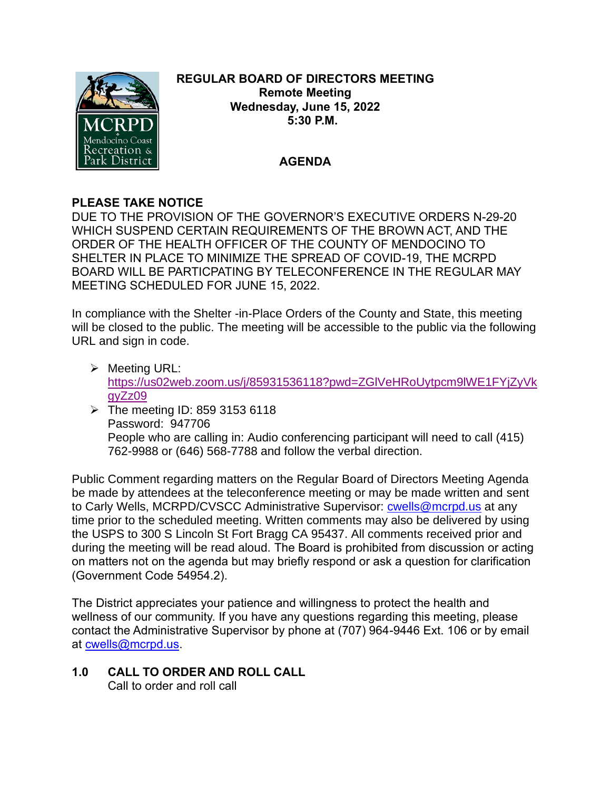

### **REGULAR BOARD OF DIRECTORS MEETING Remote Meeting Wednesday, June 15, 2022 5:30 P.M.**

# **AGENDA**

## **PLEASE TAKE NOTICE**

DUE TO THE PROVISION OF THE GOVERNOR'S EXECUTIVE ORDERS N-29-20 WHICH SUSPEND CERTAIN REQUIREMENTS OF THE BROWN ACT, AND THE ORDER OF THE HEALTH OFFICER OF THE COUNTY OF MENDOCINO TO SHELTER IN PLACE TO MINIMIZE THE SPREAD OF COVID-19, THE MCRPD BOARD WILL BE PARTICPATING BY TELECONFERENCE IN THE REGULAR MAY MEETING SCHEDULED FOR JUNE 15, 2022.

In compliance with the Shelter -in-Place Orders of the County and State, this meeting will be closed to the public. The meeting will be accessible to the public via the following URL and sign in code.

- ➢ Meeting URL: [https://us02web.zoom.us/j/85931536118?pwd=ZGlVeHRoUytpcm9lWE1FYjZyVk](https://us02web.zoom.us/j/85931536118?pwd=ZGlVeHRoUytpcm9lWE1FYjZyVkgyZz09) [gyZz09](https://us02web.zoom.us/j/85931536118?pwd=ZGlVeHRoUytpcm9lWE1FYjZyVkgyZz09)
- $\triangleright$  The meeting ID: 859 3153 6118 Password: 947706 People who are calling in: Audio conferencing participant will need to call (415) 762-9988 or (646) 568-7788 and follow the verbal direction.

Public Comment regarding matters on the Regular Board of Directors Meeting Agenda be made by attendees at the teleconference meeting or may be made written and sent to Carly Wells, MCRPD/CVSCC Administrative Supervisor: [cwells@mcrpd.us](mailto:cwells@mcrpd.us) at any time prior to the scheduled meeting. Written comments may also be delivered by using the USPS to 300 S Lincoln St Fort Bragg CA 95437. All comments received prior and during the meeting will be read aloud. The Board is prohibited from discussion or acting on matters not on the agenda but may briefly respond or ask a question for clarification (Government Code 54954.2).

The District appreciates your patience and willingness to protect the health and wellness of our community. If you have any questions regarding this meeting, please contact the Administrative Supervisor by phone at (707) 964-9446 Ext. 106 or by email at [cwells@mcrpd.us.](mailto:cwells@mcrpd.us)

#### **1.0 CALL TO ORDER AND ROLL CALL** Call to order and roll call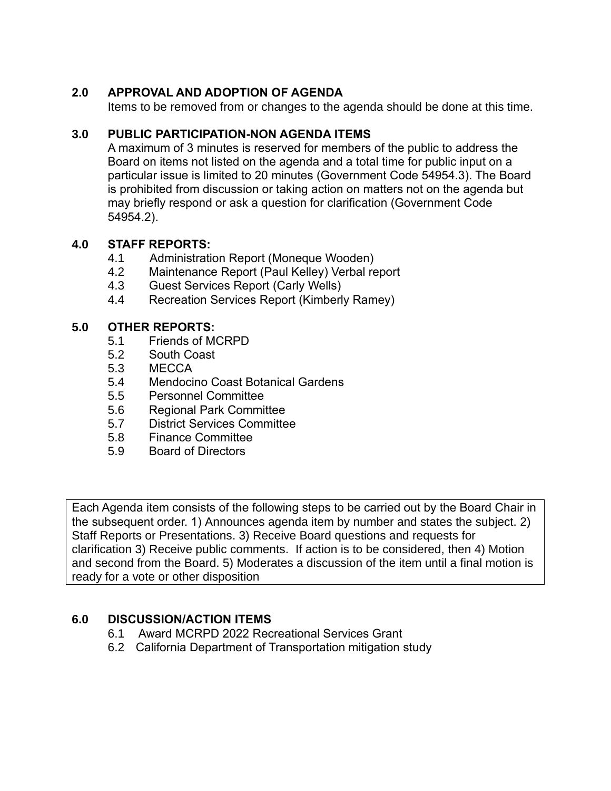# **2.0 APPROVAL AND ADOPTION OF AGENDA**

Items to be removed from or changes to the agenda should be done at this time.

## **3.0 PUBLIC PARTICIPATION-NON AGENDA ITEMS**

A maximum of 3 minutes is reserved for members of the public to address the Board on items not listed on the agenda and a total time for public input on a particular issue is limited to 20 minutes (Government Code 54954.3). The Board is prohibited from discussion or taking action on matters not on the agenda but may briefly respond or ask a question for clarification (Government Code 54954.2).

## **4.0 STAFF REPORTS:**

- 4.1 Administration Report (Moneque Wooden)
- 4.2 Maintenance Report (Paul Kelley) Verbal report
- 4.3 Guest Services Report (Carly Wells)
- 4.4 Recreation Services Report (Kimberly Ramey)

## **5.0 OTHER REPORTS:**

- 5.1 Friends of MCRPD
- 5.2 South Coast
- 5.3 MECCA
- 5.4 Mendocino Coast Botanical Gardens
- 5.5 Personnel Committee
- 5.6 Regional Park Committee
- 5.7 District Services Committee
- 5.8 Finance Committee
- 5.9 Board of Directors

Each Agenda item consists of the following steps to be carried out by the Board Chair in the subsequent order. 1) Announces agenda item by number and states the subject. 2) Staff Reports or Presentations. 3) Receive Board questions and requests for clarification 3) Receive public comments. If action is to be considered, then 4) Motion and second from the Board. 5) Moderates a discussion of the item until a final motion is ready for a vote or other disposition

# **6.0 DISCUSSION/ACTION ITEMS**

- 6.1 Award MCRPD 2022 Recreational Services Grant
- 6.2 California Department of Transportation mitigation study